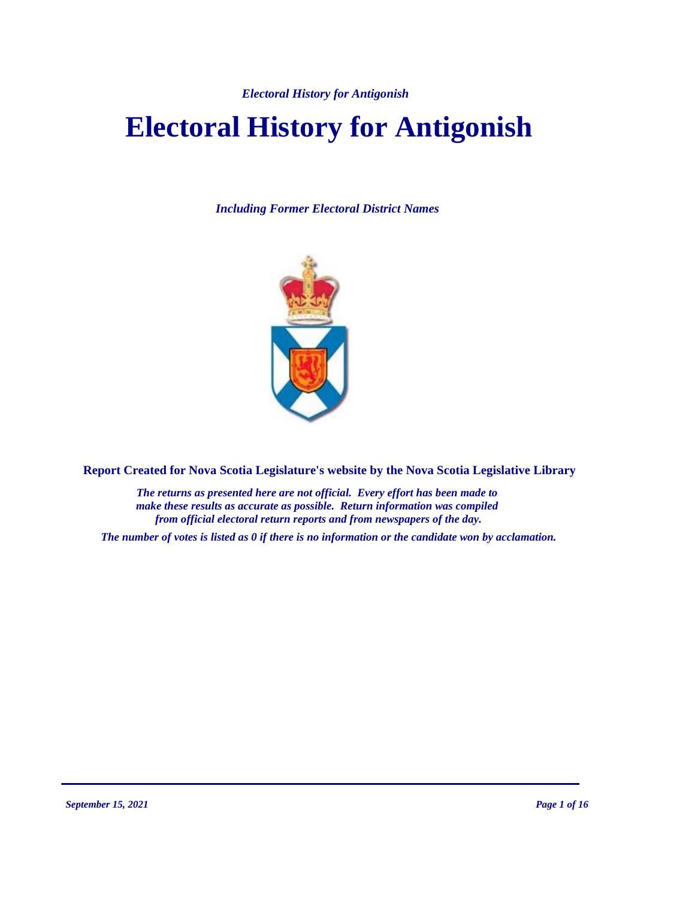# **Electoral History for Antigonish**

*Including Former Electoral District Names*



**Report Created for Nova Scotia Legislature's website by the Nova Scotia Legislative Library**

*The returns as presented here are not official. Every effort has been made to make these results as accurate as possible. Return information was compiled from official electoral return reports and from newspapers of the day.*

*The number of votes is listed as 0 if there is no information or the candidate won by acclamation.*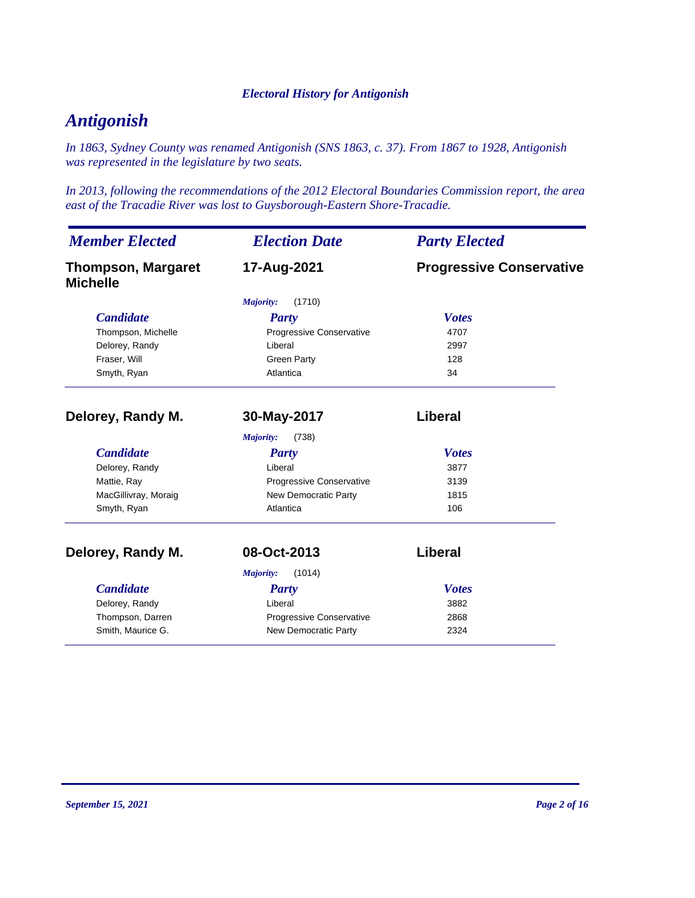## *Antigonish*

*In 1863, Sydney County was renamed Antigonish (SNS 1863, c. 37). From 1867 to 1928, Antigonish was represented in the legislature by two seats.*

*In 2013, following the recommendations of the 2012 Electoral Boundaries Commission report, the area east of the Tracadie River was lost to Guysborough-Eastern Shore-Tracadie.*

| <b>Member Elected</b>                        | <b>Election Date</b>     | <b>Party Elected</b>            |
|----------------------------------------------|--------------------------|---------------------------------|
| <b>Thompson, Margaret</b><br><b>Michelle</b> | 17-Aug-2021              | <b>Progressive Conservative</b> |
|                                              | (1710)<br>Majority:      |                                 |
| <b>Candidate</b>                             | Party                    | <b>Votes</b>                    |
| Thompson, Michelle                           | Progressive Conservative | 4707                            |
| Delorey, Randy                               | Liberal                  | 2997                            |
| Fraser, Will                                 | <b>Green Party</b>       | 128                             |
| Smyth, Ryan                                  | Atlantica                | 34                              |
| Delorey, Randy M.                            | 30-May-2017              | Liberal                         |
|                                              | (738)<br>Majority:       |                                 |
| <b>Candidate</b>                             | <b>Party</b>             | <b>Votes</b>                    |
| Delorey, Randy                               | Liberal                  | 3877                            |
| Mattie, Ray                                  | Progressive Conservative | 3139                            |
| MacGillivray, Moraig                         | New Democratic Party     | 1815                            |
| Smyth, Ryan                                  | Atlantica                | 106                             |
| Delorey, Randy M.                            | 08-Oct-2013              | Liberal                         |
|                                              | (1014)<br>Majority:      |                                 |
| <b>Candidate</b>                             | <b>Party</b>             | <b>Votes</b>                    |
| Delorey, Randy                               | Liberal                  | 3882                            |
| Thompson, Darren                             | Progressive Conservative | 2868                            |
| Smith, Maurice G.                            | New Democratic Party     | 2324                            |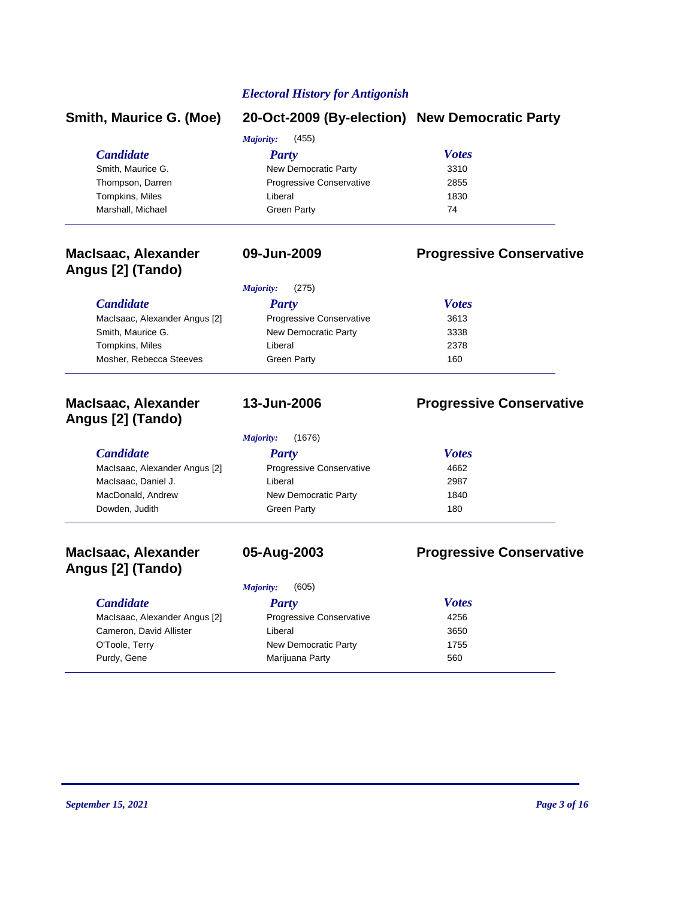#### **Smith, Maurice G. (Moe) 20-Oct-2009 (By-election) New Democratic Party**

|                   | (455)<br>Majority:              |              |  |
|-------------------|---------------------------------|--------------|--|
| <b>Candidate</b>  | Party                           | <b>Votes</b> |  |
| Smith, Maurice G. | New Democratic Party            | 3310         |  |
| Thompson, Darren  | <b>Progressive Conservative</b> | 2855         |  |
| Tompkins, Miles   | Liberal                         | 1830         |  |
| Marshall, Michael | <b>Green Party</b>              | 74           |  |

### **MacIsaac, Alexander Angus [2] (Tando)**

### **09-Jun-2009 Progressive Conservative**

|                               | (275)<br>Majority:              |              |
|-------------------------------|---------------------------------|--------------|
| <b>Candidate</b>              | Party                           | <b>Votes</b> |
| MacIsaac, Alexander Angus [2] | <b>Progressive Conservative</b> | 3613         |
| Smith, Maurice G.             | New Democratic Party            | 3338         |
| Tompkins, Miles               | Liberal                         | 2378         |
| Mosher, Rebecca Steeves       | <b>Green Party</b>              | 160          |

#### **MacIsaac, Alexander Angus [2] (Tando)**

**MacIsaac, Alexander Angus [2] (Tando)**

*Majority:* (1676)

| <i>Candidate</i>              | Party                           | <b>Votes</b> |
|-------------------------------|---------------------------------|--------------|
| MacIsaac, Alexander Angus [2] | <b>Progressive Conservative</b> | 4662         |
| MacIsaac, Daniel J.           | Liberal                         | 2987         |
| MacDonald, Andrew             | New Democratic Party            | 1840         |
| Dowden, Judith                | <b>Green Party</b>              | 180          |
|                               |                                 |              |

**13-Jun-2006 Progressive Conservative**

### **05-Aug-2003 Progressive Conservative**

*Majority:* (605)

| <b>Candidate</b>              | Party                           | <b>Votes</b> |  |
|-------------------------------|---------------------------------|--------------|--|
| MacIsaac, Alexander Angus [2] | <b>Progressive Conservative</b> | 4256         |  |
| Cameron, David Allister       | Liberal                         | 3650         |  |
| O'Toole, Terry                | New Democratic Party            | 1755         |  |
| Purdy, Gene                   | Marijuana Party                 | 560          |  |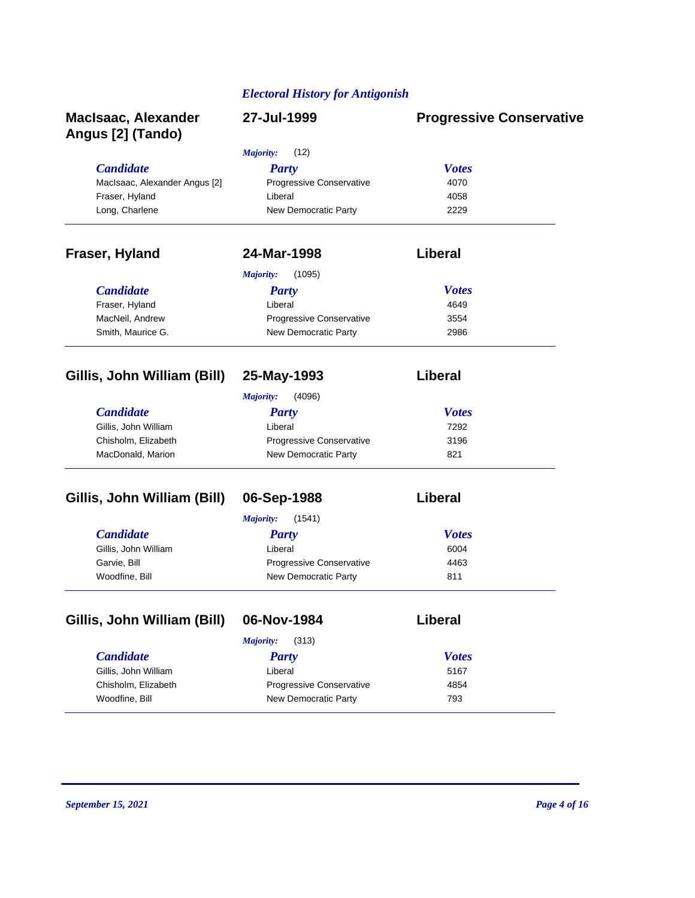| <b>MacIsaac, Alexander</b><br>Angus [2] (Tando) | 27-Jul-1999                | <b>Progressive Conservative</b> |
|-------------------------------------------------|----------------------------|---------------------------------|
|                                                 | (12)<br><b>Majority:</b>   |                                 |
| <b>Candidate</b>                                | <b>Party</b>               | <b>Votes</b>                    |
| MacIsaac, Alexander Angus [2]                   | Progressive Conservative   | 4070                            |
| Fraser, Hyland                                  | Liberal                    | 4058                            |
| Long, Charlene                                  | New Democratic Party       | 2229                            |
| Fraser, Hyland                                  | 24-Mar-1998                | Liberal                         |
|                                                 | (1095)<br><b>Majority:</b> |                                 |
| <b>Candidate</b>                                | <b>Party</b>               | <b>Votes</b>                    |
| Fraser, Hyland                                  | Liberal                    | 4649                            |
| MacNeil, Andrew                                 | Progressive Conservative   | 3554                            |
| Smith, Maurice G.                               | New Democratic Party       | 2986                            |
| Gillis, John William (Bill)                     | 25-May-1993                | Liberal                         |
|                                                 | <b>Majority:</b><br>(4096) |                                 |
| <b>Candidate</b>                                | <b>Party</b>               | <b>Votes</b>                    |
| Gillis, John William                            | Liberal                    | 7292                            |
| Chisholm, Elizabeth                             | Progressive Conservative   | 3196                            |
| MacDonald, Marion                               | New Democratic Party       | 821                             |
| Gillis, John William (Bill)                     | 06-Sep-1988                | Liberal                         |
|                                                 | <b>Majority:</b><br>(1541) |                                 |
| <b>Candidate</b>                                | <b>Party</b>               | <b>Votes</b>                    |
| Gillis, John William                            | Liberal                    | 6004                            |
| Garvie, Bill                                    | Progressive Conservative   | 4463                            |
| Woodfine, Bill                                  | New Democratic Party       | 811                             |
| Gillis, John William (Bill)                     | 06-Nov-1984                | Liberal                         |
|                                                 | (313)<br>Majority:         |                                 |
| <b>Candidate</b>                                | <b>Party</b>               | <b>Votes</b>                    |
| Gillis, John William                            | Liberal                    | 5167                            |
| Chisholm, Elizabeth                             | Progressive Conservative   | 4854                            |
| Woodfine, Bill                                  | New Democratic Party       | 793                             |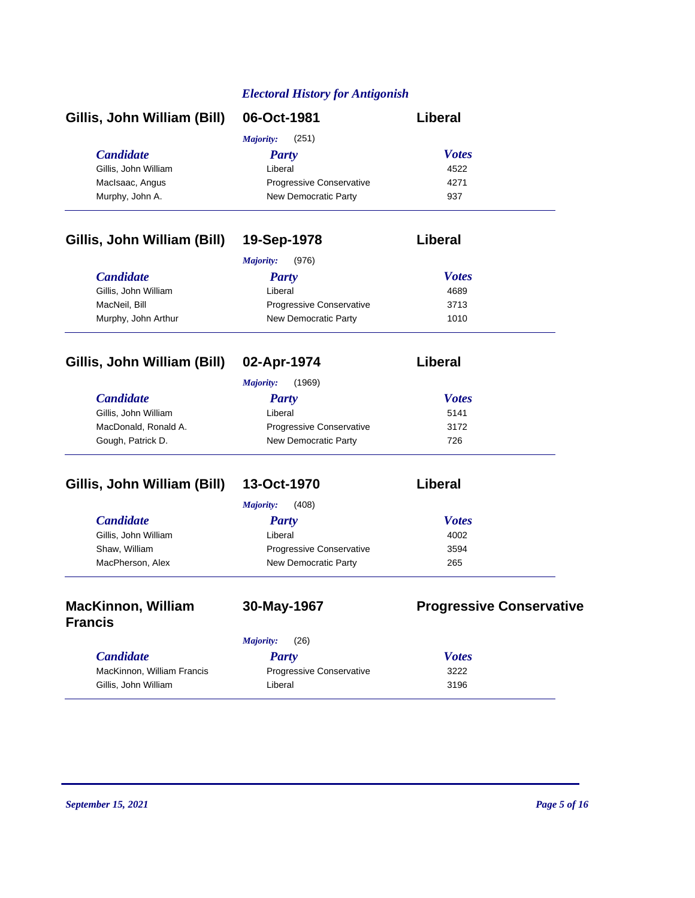| Gillis, John William (Bill) | 06-Oct-1981                     | Liberal      |
|-----------------------------|---------------------------------|--------------|
|                             | (251)<br>Majority:              |              |
| <b>Candidate</b>            | <b>Party</b>                    | <b>Votes</b> |
| Gillis, John William        | Liberal                         | 4522         |
| MacIsaac, Angus             | <b>Progressive Conservative</b> | 4271         |
| Murphy, John A.             | New Democratic Party            | 937          |

### **Gillis, John William (Bill) 19-Sep-1978 Liberal**

|                      | (976)<br>Majority:              |              |  |
|----------------------|---------------------------------|--------------|--|
| <b>Candidate</b>     | <b>Party</b>                    | <b>Votes</b> |  |
| Gillis, John William | Liberal                         | 4689         |  |
| MacNeil, Bill        | <b>Progressive Conservative</b> | 3713         |  |
| Murphy, John Arthur  | New Democratic Party            | 1010         |  |

| Gillis, John William (Bill) | 02-Apr-1974                     | Liberal      |
|-----------------------------|---------------------------------|--------------|
|                             | (1969)<br>Majority:             |              |
| <b>Candidate</b>            | <b>Party</b>                    | <b>Votes</b> |
| Gillis, John William        | Liberal                         | 5141         |
| MacDonald, Ronald A.        | <b>Progressive Conservative</b> | 3172         |
| Gough, Patrick D.           | New Democratic Party            | 726          |

### Gillis, John William (Bill) 13-Oct-1970

| per<br>łI<br>. . |
|------------------|

|                      | (408)<br><i>Majority:</i>       |              |
|----------------------|---------------------------------|--------------|
| <i>Candidate</i>     | <b>Party</b>                    | <b>Votes</b> |
| Gillis, John William | Liberal                         | 4002         |
| Shaw, William        | <b>Progressive Conservative</b> | 3594         |
| MacPherson, Alex     | New Democratic Party            | 265          |

### **MacKinnon, William Francis**

**30-May-1967 Progressive Conservative**

| <i>Candidate</i>           | Party                           | <b>Votes</b> |
|----------------------------|---------------------------------|--------------|
| MacKinnon, William Francis | <b>Progressive Conservative</b> | 3222         |
| Gillis, John William       | Liberal                         | 3196         |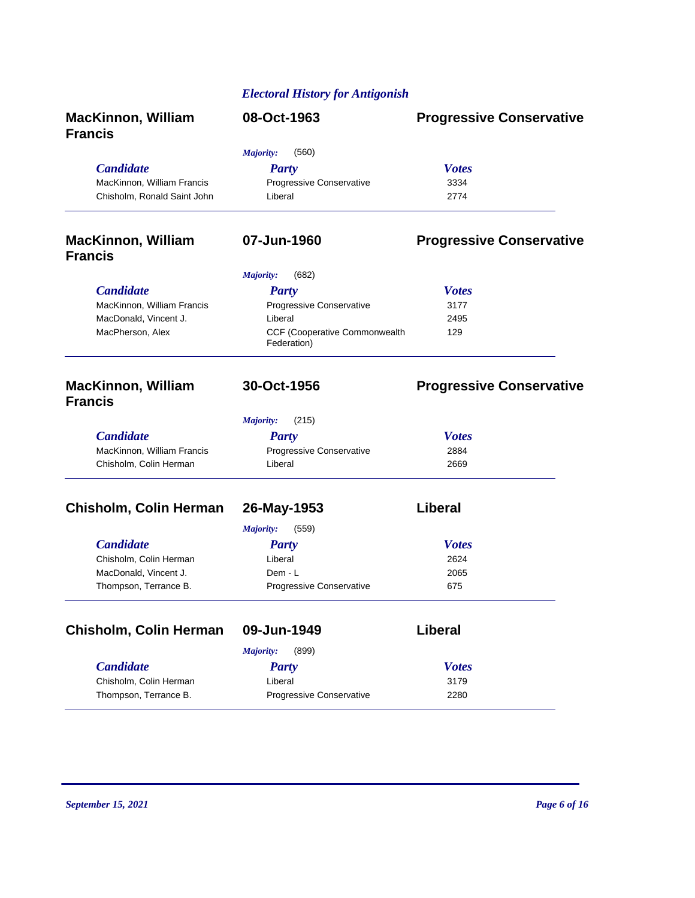|                                             | <b>Electoral History for Antigonish</b>             |                                 |
|---------------------------------------------|-----------------------------------------------------|---------------------------------|
| <b>MacKinnon, William</b><br><b>Francis</b> | 08-Oct-1963                                         | <b>Progressive Conservative</b> |
|                                             | (560)<br><b>Majority:</b>                           |                                 |
| <b>Candidate</b>                            | <b>Party</b>                                        | <b>Votes</b>                    |
| MacKinnon, William Francis                  | Progressive Conservative                            | 3334                            |
| Chisholm, Ronald Saint John                 | Liberal                                             | 2774                            |
| <b>MacKinnon, William</b><br><b>Francis</b> | 07-Jun-1960                                         | <b>Progressive Conservative</b> |
|                                             | Majority:<br>(682)                                  |                                 |
| <b>Candidate</b>                            | Party                                               | <b>Votes</b>                    |
| MacKinnon, William Francis                  | Progressive Conservative                            | 3177                            |
| MacDonald, Vincent J.                       | Liberal                                             | 2495                            |
| MacPherson, Alex                            | <b>CCF (Cooperative Commonwealth</b><br>Federation) | 129                             |
| <b>MacKinnon, William</b><br><b>Francis</b> | 30-Oct-1956                                         | <b>Progressive Conservative</b> |
|                                             | <b>Majority:</b><br>(215)                           |                                 |
| <b>Candidate</b>                            | Party                                               | <b>Votes</b>                    |
| MacKinnon, William Francis                  | Progressive Conservative                            | 2884                            |
| Chisholm, Colin Herman                      | Liberal                                             | 2669                            |
| <b>Chisholm, Colin Herman</b>               | 26-May-1953                                         | <b>Liberal</b>                  |
|                                             | <b>Majority:</b><br>(559)                           |                                 |
| <b>Candidate</b>                            | <b>Party</b>                                        | <b>Votes</b>                    |
| Chisholm, Colin Herman                      | Liberal                                             | 2624                            |
| MacDonald, Vincent J.                       | Dem - L                                             | 2065                            |
| Thompson, Terrance B.                       | Progressive Conservative                            | 675                             |
| <b>Chisholm, Colin Herman</b>               | 09-Jun-1949                                         | <b>Liberal</b>                  |
|                                             | (899)<br><b>Majority:</b>                           |                                 |
|                                             |                                                     |                                 |

| <b>Candidate</b>       | Party                           | <b>Votes</b> |  |
|------------------------|---------------------------------|--------------|--|
| Chisholm, Colin Herman | Liberal                         | 3179         |  |
| Thompson, Terrance B.  | <b>Progressive Conservative</b> | 2280         |  |

 $\overline{a}$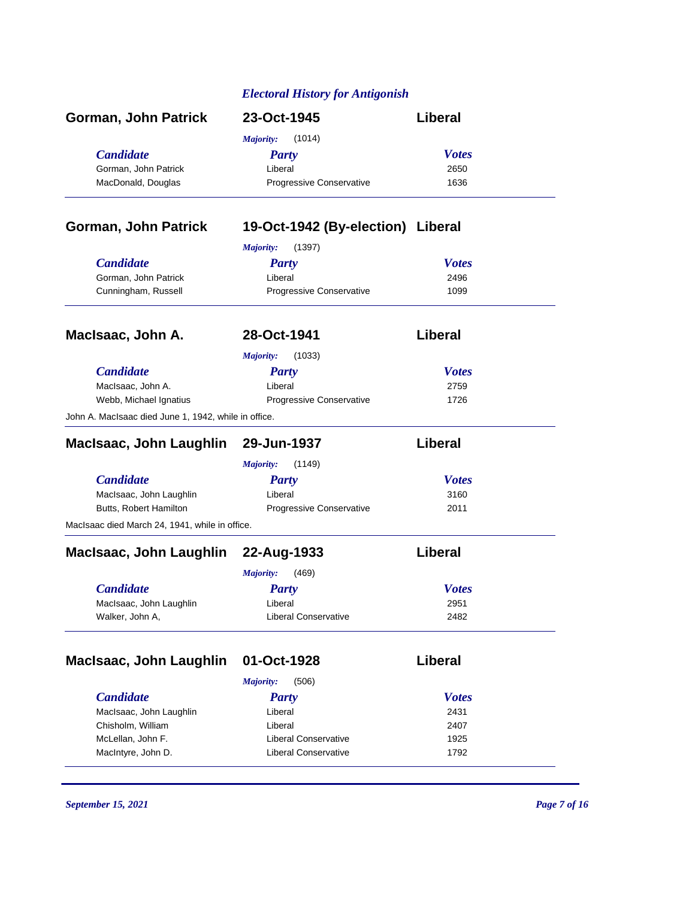| Gorman, John Patrick                                 | 23-Oct-1945                       | Liberal      |  |
|------------------------------------------------------|-----------------------------------|--------------|--|
|                                                      | (1014)<br>Majority:               |              |  |
| <b>Candidate</b>                                     | <b>Party</b>                      | <b>Votes</b> |  |
| Gorman, John Patrick                                 | Liberal                           | 2650         |  |
| MacDonald, Douglas                                   | Progressive Conservative          | 1636         |  |
| Gorman, John Patrick                                 | 19-Oct-1942 (By-election) Liberal |              |  |
|                                                      | <b>Majority:</b><br>(1397)        |              |  |
| <b>Candidate</b>                                     | <b>Party</b>                      | <b>Votes</b> |  |
| Gorman, John Patrick                                 | Liberal                           | 2496         |  |
| Cunningham, Russell                                  | Progressive Conservative          | 1099         |  |
| MacIsaac, John A.                                    | 28-Oct-1941                       | Liberal      |  |
|                                                      | (1033)<br><b>Majority:</b>        |              |  |
| <b>Candidate</b>                                     | <b>Party</b>                      | <b>Votes</b> |  |
| MacIsaac, John A.                                    | Liberal                           | 2759         |  |
| Webb, Michael Ignatius                               | Progressive Conservative          | 1726         |  |
| John A. MacIsaac died June 1, 1942, while in office. |                                   |              |  |
| MacIsaac, John Laughlin 29-Jun-1937                  |                                   | Liberal      |  |
|                                                      | <b>Majority:</b><br>(1149)        |              |  |
| <b>Candidate</b>                                     | <b>Party</b>                      | <b>Votes</b> |  |
| MacIsaac, John Laughlin                              | Liberal                           | 3160         |  |
| Butts, Robert Hamilton                               | Progressive Conservative          | 2011         |  |
| MacIsaac died March 24, 1941, while in office.       |                                   |              |  |
| MacIsaac, John Laughlin 22-Aug-1933                  |                                   | Liberal      |  |
|                                                      | <b>Majority:</b><br>(469)         |              |  |
| <b>Candidate</b>                                     | Party                             | <b>Votes</b> |  |
| MacIsaac, John Laughlin                              | Liberal                           | 2951         |  |
| Walker, John A,                                      | Liberal Conservative              | 2482         |  |
| MacIsaac, John Laughlin                              | 01-Oct-1928                       | Liberal      |  |
|                                                      | <b>Majority:</b><br>(506)         |              |  |
| <b>Candidate</b>                                     | <b>Party</b>                      | <b>Votes</b> |  |
| MacIsaac, John Laughlin                              | Liberal                           | 2431         |  |
| Chisholm, William                                    | Liberal                           | 2407         |  |
| McLellan, John F.                                    | <b>Liberal Conservative</b>       | 1925         |  |
| MacIntyre, John D.<br><b>Liberal Conservative</b>    |                                   | 1792         |  |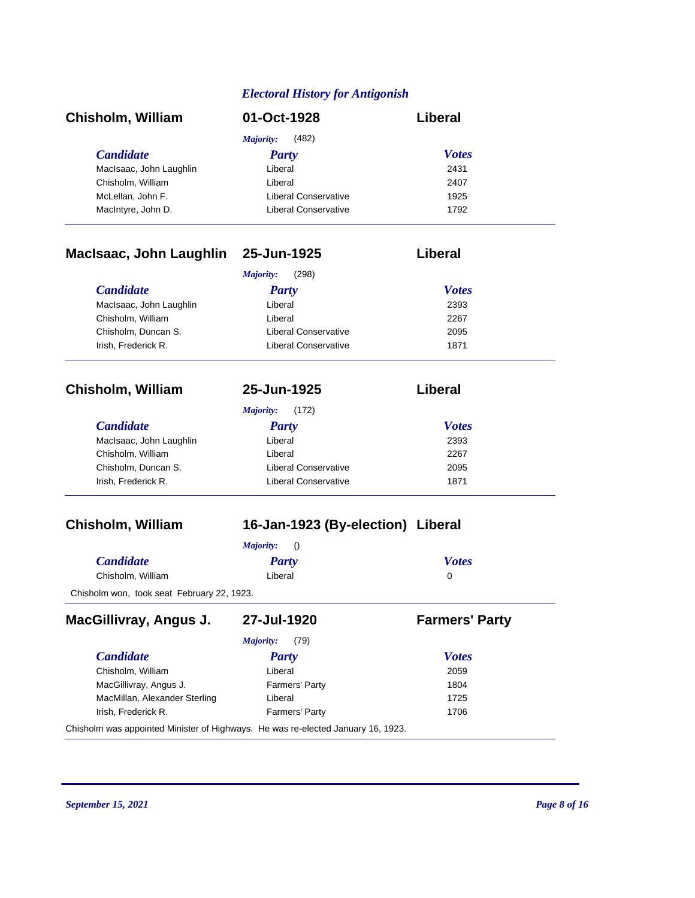| <b>Chisholm, William</b>     | 01-Oct-1928                 | Liberal      |  |
|------------------------------|-----------------------------|--------------|--|
|                              | (482)<br>Majority:          |              |  |
| <b>Candidate</b>             | Party                       | <b>Votes</b> |  |
| MacIsaac, John Laughlin      | Liberal                     | 2431         |  |
| Chisholm, William            | Liberal                     | 2407         |  |
| McLellan, John F.            | Liberal Conservative        | 1925         |  |
| MacIntyre, John D.           | <b>Liberal Conservative</b> | 1792         |  |
| MacIsaac, John Laughlin      | 25-Jun-1925                 | Liberal      |  |
|                              | (298)<br>Majority:          |              |  |
| <b>Candidate</b>             | Party                       | <b>Votes</b> |  |
| Martin and the Lord and Part | $1.21 - 1.22 = 1.2$         | $\sim$       |  |

| MacIsaac, John Laughlin | Liberal              | 2393 |
|-------------------------|----------------------|------|
| Chisholm, William       | Liberal              | 2267 |
| Chisholm, Duncan S.     | Liberal Conservative | 2095 |
| Irish. Frederick R.     | Liberal Conservative | 1871 |
|                         |                      |      |

**Chisholm, William 25-Jun-1925 Liberal**

*Majority:* (172)

| <b>Party</b>                | <b>Votes</b> |
|-----------------------------|--------------|
| Liberal                     | 2393         |
| Liberal                     | 2267         |
| Liberal Conservative        | 2095         |
| <b>Liberal Conservative</b> | 1871         |
|                             |              |

### **Chisholm, William 16-Jan-1923 (By-election) Liberal**

|                   | <i>Majority:</i> () |              |
|-------------------|---------------------|--------------|
| <b>Candidate</b>  | Party               | <b>Votes</b> |
| Chisholm, William | Liberal             | $\Omega$     |

Chisholm won, took seat February 22, 1923.

| MacGillivray, Angus J.                                                           | 27-Jul-1920       | <b>Farmers' Party</b> |
|----------------------------------------------------------------------------------|-------------------|-----------------------|
|                                                                                  | (79)<br>Majority: |                       |
| <b>Candidate</b>                                                                 | Party             | <b>Votes</b>          |
| Chisholm, William                                                                | Liberal           | 2059                  |
| MacGillivray, Angus J.                                                           | Farmers' Party    | 1804                  |
| MacMillan, Alexander Sterling                                                    | Liberal           | 1725                  |
| Irish. Frederick R.                                                              | Farmers' Party    | 1706                  |
| Chisholm was appointed Minister of Highways. He was re-elected January 16, 1923. |                   |                       |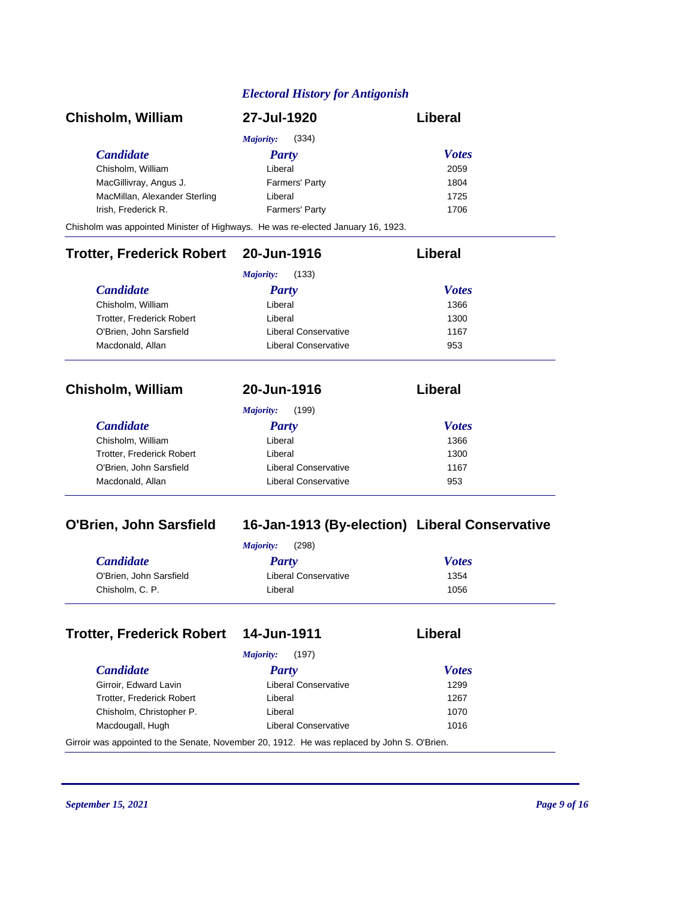| <b>Chisholm, William</b>                                                         | 27-Jul-1920        | Liberal      |
|----------------------------------------------------------------------------------|--------------------|--------------|
|                                                                                  | (334)<br>Majority: |              |
| <b>Candidate</b>                                                                 | Party              | <b>Votes</b> |
| Chisholm, William                                                                | Liberal            | 2059         |
| MacGillivray, Angus J.                                                           | Farmers' Party     | 1804         |
| MacMillan, Alexander Sterling                                                    | Liberal            | 1725         |
| Irish, Frederick R.                                                              | Farmers' Party     | 1706         |
| Chisholm was appointed Minister of Highways. He was re-elected January 16, 1923. |                    |              |

#### **Trotter, Frederick Robert 20-Jun-1916 Liberal**

| (133)<br>Majority:        |                      |              |  |
|---------------------------|----------------------|--------------|--|
| <i>Candidate</i>          | <b>Party</b>         | <b>Votes</b> |  |
| Chisholm, William         | Liberal              | 1366         |  |
| Trotter, Frederick Robert | Liberal              | 1300         |  |
| O'Brien, John Sarsfield   | Liberal Conservative | 1167         |  |
| Macdonald, Allan          | Liberal Conservative | 953          |  |

| Chisholm, William | 20-Jun-1916 | Liberal |
|-------------------|-------------|---------|
|-------------------|-------------|---------|

| $\mathbf{r}$ |  | (400) |
|--------------|--|-------|
|              |  |       |
|              |  |       |

| (199)<br>Majority:          |              |  |
|-----------------------------|--------------|--|
| Party                       | <b>Votes</b> |  |
| Liberal                     | 1366         |  |
| Liberal                     | 1300         |  |
| Liberal Conservative        | 1167         |  |
| <b>Liberal Conservative</b> | 953          |  |
|                             |              |  |

### **O'Brien, John Sarsfield 16-Jan-1913 (By-election) Liberal Conservative**

| <b>Votes</b>                 |
|------------------------------|
| Liberal Conservative<br>1354 |
| 1056                         |
|                              |

#### **Trotter, Frederick Robert 14-Jun-1911 Liberal**

|  | ∟iberal |  |
|--|---------|--|
|  |         |  |

|                           | (197)<br>Majority:   |              |
|---------------------------|----------------------|--------------|
| <i>Candidate</i>          | Party                | <b>Votes</b> |
| Girroir, Edward Lavin     | Liberal Conservative | 1299         |
| Trotter, Frederick Robert | Liberal              | 1267         |
| Chisholm, Christopher P.  | Liberal              | 1070         |
| Macdougall, Hugh          | Liberal Conservative | 1016         |

Girroir was appointed to the Senate, November 20, 1912. He was replaced by John S. O'Brien.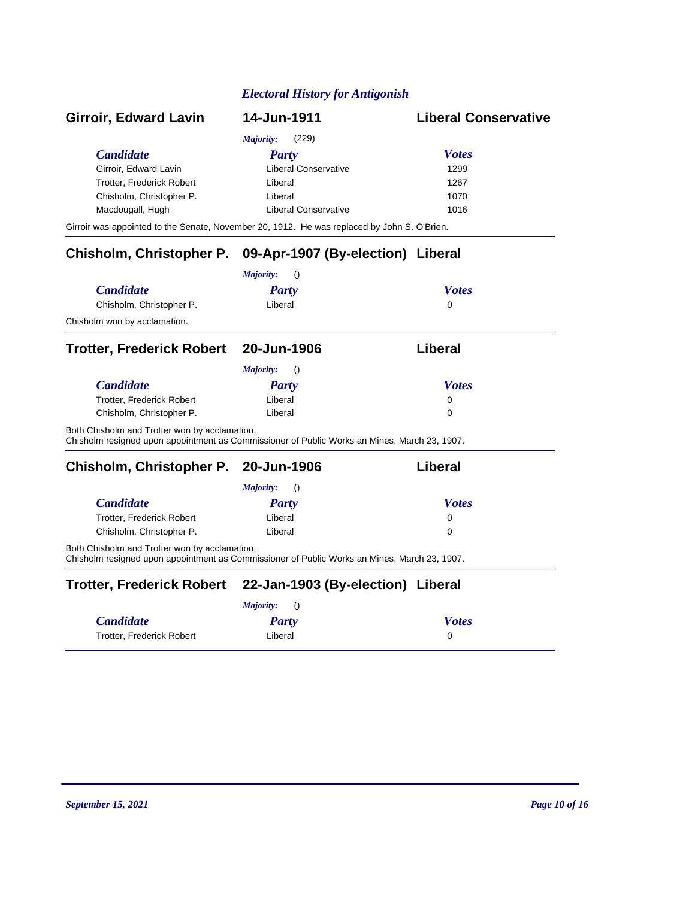| Girroir, Edward Lavin                                                                                                                         | 14-Jun-1911                       | <b>Liberal Conservative</b> |
|-----------------------------------------------------------------------------------------------------------------------------------------------|-----------------------------------|-----------------------------|
|                                                                                                                                               | Majority:<br>(229)                |                             |
| <b>Candidate</b>                                                                                                                              | <b>Party</b>                      | <b>Votes</b>                |
| Girroir, Edward Lavin                                                                                                                         | Liberal Conservative              | 1299                        |
| Trotter, Frederick Robert                                                                                                                     | Liberal                           | 1267                        |
| Chisholm, Christopher P.                                                                                                                      | Liberal                           | 1070                        |
| Macdougall, Hugh                                                                                                                              | <b>Liberal Conservative</b>       | 1016                        |
| Girroir was appointed to the Senate, November 20, 1912. He was replaced by John S. O'Brien.                                                   |                                   |                             |
| <b>Chisholm, Christopher P.</b>                                                                                                               | 09-Apr-1907 (By-election) Liberal |                             |
|                                                                                                                                               | Majority:<br>$\left( \right)$     |                             |
| <b>Candidate</b>                                                                                                                              | <b>Party</b>                      | <b>Votes</b>                |
| Chisholm, Christopher P.                                                                                                                      | Liberal                           | $\Omega$                    |
| Chisholm won by acclamation.                                                                                                                  |                                   |                             |
| Trotter, Frederick Robert 20-Jun-1906                                                                                                         |                                   | Liberal                     |
|                                                                                                                                               | Majority:<br>$\left( \right)$     |                             |
| <b>Candidate</b>                                                                                                                              | <b>Party</b>                      | <b>Votes</b>                |
| Trotter, Frederick Robert                                                                                                                     | Liberal                           | 0                           |
| Chisholm, Christopher P.                                                                                                                      | Liberal                           | $\Omega$                    |
| Both Chisholm and Trotter won by acclamation.<br>Chisholm resigned upon appointment as Commissioner of Public Works an Mines, March 23, 1907. |                                   |                             |
| Chisholm, Christopher P. 20-Jun-1906                                                                                                          |                                   | Liberal                     |
|                                                                                                                                               | Majority:<br>$\left( \right)$     |                             |
| <b>Candidate</b>                                                                                                                              | <b>Party</b>                      | <b>Votes</b>                |
| Trotter, Frederick Robert                                                                                                                     | Liberal                           | 0                           |
| Chisholm, Christopher P.                                                                                                                      | Liberal                           | $\Omega$                    |
| Both Chisholm and Trotter won by acclamation.<br>Chisholm resigned upon appointment as Commissioner of Public Works an Mines, March 23, 1907. |                                   |                             |
| <b>Trotter, Frederick Robert</b>                                                                                                              | 22-Jan-1903 (By-election) Liberal |                             |
|                                                                                                                                               | Majority:<br>$\left( \right)$     |                             |
| <b>Candidate</b>                                                                                                                              | Party                             | <b>Votes</b>                |
| Trotter, Frederick Robert                                                                                                                     | Liberal                           | 0                           |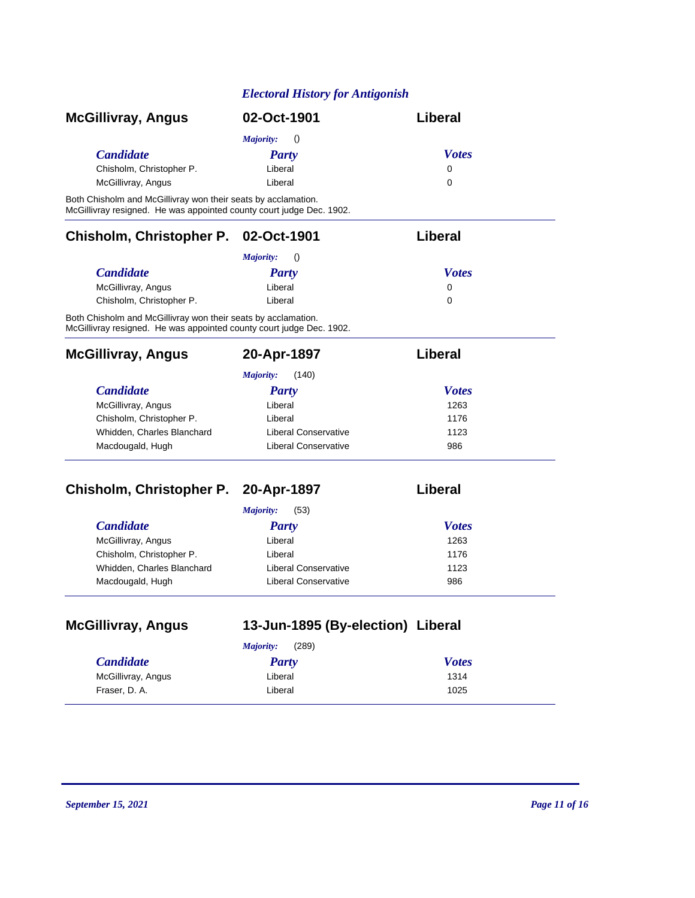| <b>McGillivray, Angus</b> | 02-Oct-1901                          | Liberal      |
|---------------------------|--------------------------------------|--------------|
|                           | <i>Majority:</i><br>$\left( \right)$ |              |
| <i>Candidate</i>          | <b>Party</b>                         | <b>Votes</b> |
| Chisholm, Christopher P.  | Liberal                              | 0            |
| McGillivray, Angus        | Liberal                              | 0            |

Both Chisholm and McGillivray won their seats by acclamation. McGillivray resigned. He was appointed county court judge Dec. 1902.

#### **Chisholm, Christopher P. 02-Oct-1901 Liberal**

|                          | Majority:<br>$\left( \right)$ |              |
|--------------------------|-------------------------------|--------------|
| <b>Candidate</b>         | Party                         | <b>Votes</b> |
| McGillivray, Angus       | Liberal                       | 0            |
| Chisholm, Christopher P. | Liberal                       | 0            |

Both Chisholm and McGillivray won their seats by acclamation. McGillivray resigned. He was appointed county court judge Dec. 1902.

| <b>McGillivray, Angus</b>  | 20-Apr-1897          | Liberal      |  |
|----------------------------|----------------------|--------------|--|
|                            | (140)<br>Majority:   |              |  |
| <b>Candidate</b>           | Party                | <b>Votes</b> |  |
| McGillivray, Angus         | Liberal              | 1263         |  |
| Chisholm, Christopher P.   | Liberal              | 1176         |  |
| Whidden, Charles Blanchard | Liberal Conservative | 1123         |  |
| Macdougald, Hugh           | Liberal Conservative | 986          |  |

#### **Chisholm, Christopher P. 20-Apr-1897 Liberal**

| (53)<br>Majority:          |                             |              |  |
|----------------------------|-----------------------------|--------------|--|
| <i>Candidate</i>           | <b>Party</b>                | <b>Votes</b> |  |
| McGillivray, Angus         | Liberal                     | 1263         |  |
| Chisholm, Christopher P.   | Liberal                     | 1176         |  |
| Whidden, Charles Blanchard | <b>Liberal Conservative</b> | 1123         |  |
| Macdougald, Hugh           | <b>Liberal Conservative</b> | 986          |  |

| 13-Jun-1895 (By-election) Liberal<br><b>McGillivray, Angus</b> |                    |              |
|----------------------------------------------------------------|--------------------|--------------|
|                                                                | (289)<br>Majority: |              |
| <b>Candidate</b>                                               | Party              | <b>Votes</b> |
| McGillivray, Angus                                             | Liberal            | 1314         |
| Fraser, D. A.                                                  | Liberal            | 1025         |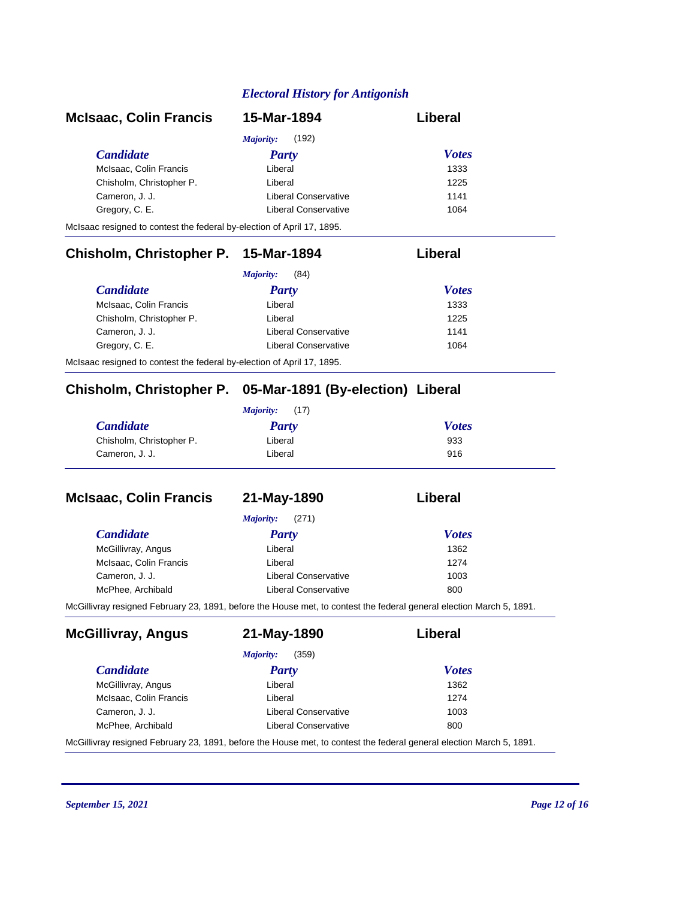| <b>McIsaac, Colin Francis</b>                                          | 15-Mar-1894               | Liberal      |
|------------------------------------------------------------------------|---------------------------|--------------|
|                                                                        | (192)<br><i>Majority:</i> |              |
| <b>Candidate</b>                                                       | Party                     | <b>Votes</b> |
| McIsaac, Colin Francis                                                 | Liberal                   | 1333         |
| Chisholm, Christopher P.                                               | Liberal                   | 1225         |
| Cameron, J. J.                                                         | Liberal Conservative      | 1141         |
| Gregory, C. E.                                                         | Liberal Conservative      | 1064         |
| McIsaac resigned to contest the federal by-election of April 17, 1895. |                           |              |

# **Chisholm, Christopher P. 15-Mar-1894 Liberal**

| (84)<br><i>Majority:</i> |                      |              |
|--------------------------|----------------------|--------------|
| <i>Candidate</i>         | <b>Party</b>         | <b>Votes</b> |
| McIsaac, Colin Francis   | Liberal              | 1333         |
| Chisholm, Christopher P. | Liberal              | 1225         |
| Cameron, J. J.           | Liberal Conservative | 1141         |
| Gregory, C. E.           | Liberal Conservative | 1064         |

McIsaac resigned to contest the federal by-election of April 17, 1895.

#### **Chisholm, Christopher P. 05-Mar-1891 (By-election) Liberal**

| (17)<br>Majority:        |         |              |
|--------------------------|---------|--------------|
| <b>Candidate</b>         | Party   | <b>Votes</b> |
| Chisholm, Christopher P. | Liberal | 933          |
| Cameron, J. J.           | Liberal | 916          |

| <b>McIsaac, Colin Francis</b>                                                                                        | 21-May-1890          | Liberal      |
|----------------------------------------------------------------------------------------------------------------------|----------------------|--------------|
|                                                                                                                      | (271)<br>Majority:   |              |
| <b>Candidate</b>                                                                                                     | <b>Party</b>         | <b>Votes</b> |
| McGillivray, Angus                                                                                                   | Liberal              | 1362         |
| McIsaac, Colin Francis                                                                                               | Liberal              | 1274         |
| Cameron, J. J.                                                                                                       | Liberal Conservative | 1003         |
| McPhee, Archibald                                                                                                    | Liberal Conservative | 800          |
| McGillivray resigned February 23, 1891, before the House met, to contest the federal general election March 5, 1891. |                      |              |

| <b>McGillivray, Angus</b> | 21-May-1890          | Liberal      |
|---------------------------|----------------------|--------------|
|                           | (359)<br>Majority:   |              |
| <b>Candidate</b>          | <b>Party</b>         | <b>Votes</b> |
| McGillivray, Angus        | Liberal              | 1362         |
| McIsaac, Colin Francis    | Liberal              | 1274         |
| Cameron, J. J.            | Liberal Conservative | 1003         |
| McPhee, Archibald         | Liberal Conservative | 800          |

McGillivray resigned February 23, 1891, before the House met, to contest the federal general election March 5, 1891.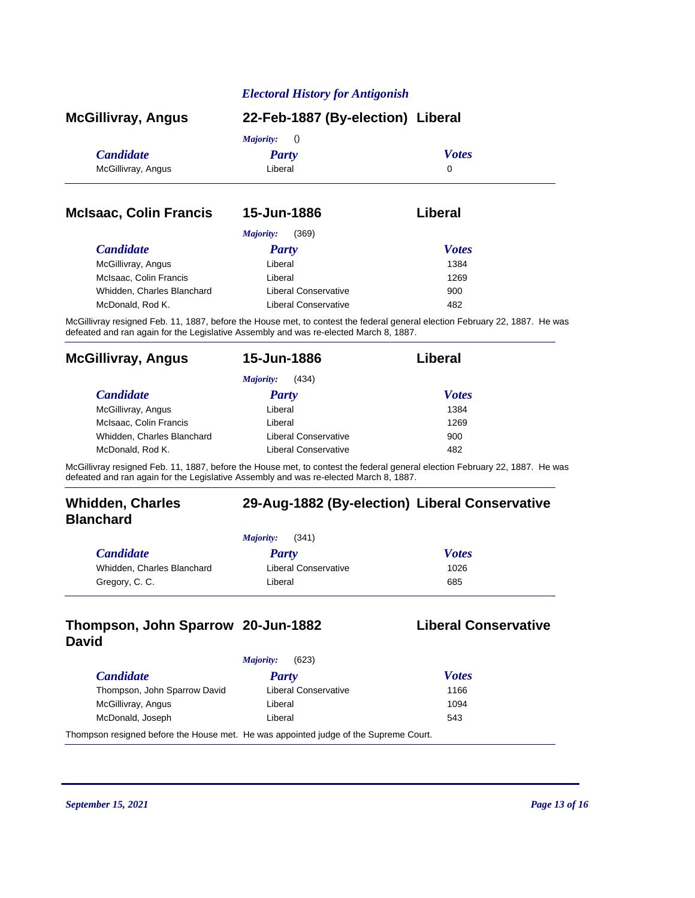| <b>McGillivray, Angus</b>     | 22-Feb-1887 (By-election) Liberal |              |  |
|-------------------------------|-----------------------------------|--------------|--|
|                               | Majority:<br>$\langle$ )          |              |  |
| <b>Candidate</b>              | <b>Party</b>                      | <b>Votes</b> |  |
| McGillivray, Angus            | Liberal                           | 0            |  |
| <b>McIsaac, Colin Francis</b> | 15-Jun-1886                       | Liberal      |  |
|                               | Majority:<br>(369)                |              |  |
| <b>Candidate</b>              | <b>Party</b>                      | <b>Votes</b> |  |
| McGillivray, Angus            | Liberal                           | 1384         |  |

| McIsaac. Colin Francis<br>Liberal                  | 1269 |
|----------------------------------------------------|------|
| Whidden, Charles Blanchard<br>Liberal Conservative | 900  |
| McDonald, Rod K.<br>Liberal Conservative           | 482  |

McGillivray resigned Feb. 11, 1887, before the House met, to contest the federal general election February 22, 1887. He was defeated and ran again for the Legislative Assembly and was re-elected March 8, 1887.

| <b>McGillivray, Angus</b>  | 15-Jun-1886                 | Liberal      |  |
|----------------------------|-----------------------------|--------------|--|
|                            | (434)<br>Majority:          |              |  |
| <b>Candidate</b>           | <b>Party</b>                | <b>Votes</b> |  |
| McGillivray, Angus         | Liberal                     | 1384         |  |
| McIsaac, Colin Francis     | Liberal                     | 1269         |  |
| Whidden, Charles Blanchard | Liberal Conservative        | 900          |  |
| McDonald, Rod K.           | <b>Liberal Conservative</b> | 482          |  |

McGillivray resigned Feb. 11, 1887, before the House met, to contest the federal general election February 22, 1887. He was defeated and ran again for the Legislative Assembly and was re-elected March 8, 1887.

| <b>Whidden, Charles</b><br><b>Blanchard</b> | 29-Aug-1882 (By-election) Liberal Conservative |
|---------------------------------------------|------------------------------------------------|
|                                             | (341)<br><i>Majority:</i>                      |

| <b>Candidate</b>           | Party                | <b>Votes</b> |
|----------------------------|----------------------|--------------|
| Whidden, Charles Blanchard | Liberal Conservative | 1026         |
| Gregory, C. C.             | Liberal              | 685          |

#### **Thompson, John Sparrow David**

#### **Liberal Conservative**

| (623)<br>Majority:                                                                   |                      |              |
|--------------------------------------------------------------------------------------|----------------------|--------------|
| <i>Candidate</i>                                                                     | Party                | <b>Votes</b> |
| Thompson, John Sparrow David                                                         | Liberal Conservative | 1166         |
| McGillivray, Angus                                                                   | Liberal              | 1094         |
| McDonald, Joseph                                                                     | Liberal              | 543          |
| Thompson resigned before the House met. He was appointed judge of the Supreme Court. |                      |              |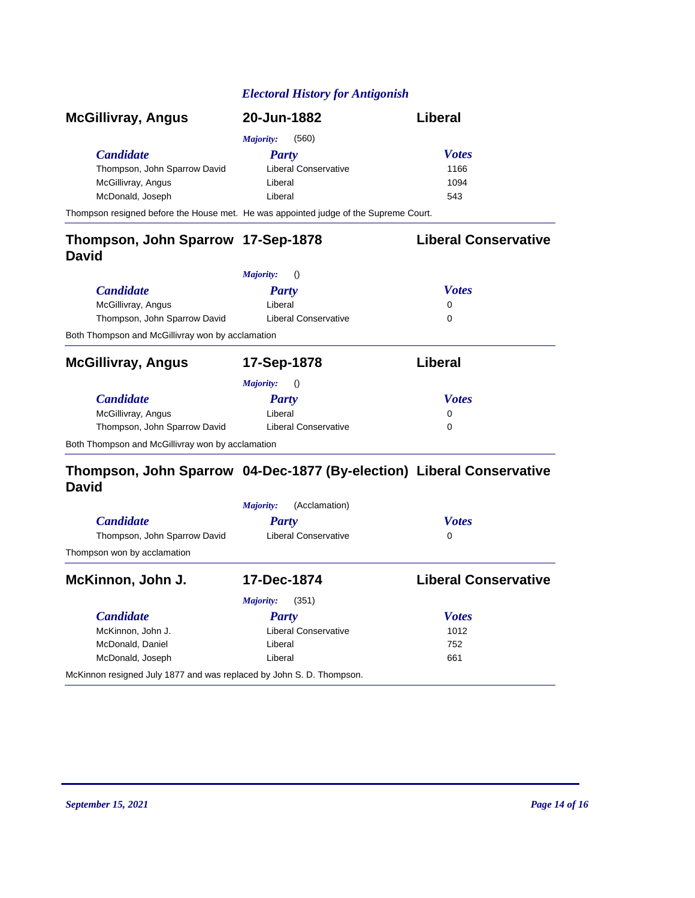| <b>McGillivray, Angus</b>                                                            | 20-Jun-1882           | Liberal                     |
|--------------------------------------------------------------------------------------|-----------------------|-----------------------------|
|                                                                                      | Majority:<br>(560)    |                             |
| <b>Candidate</b>                                                                     | Party                 | <b>Votes</b>                |
| Thompson, John Sparrow David                                                         | Liberal Conservative  | 1166                        |
| McGillivray, Angus                                                                   | Liberal               | 1094                        |
| McDonald, Joseph                                                                     | Liberal               | 543                         |
| Thompson resigned before the House met. He was appointed judge of the Supreme Court. |                       |                             |
| Thompson, John Sparrow 17-Sep-1878<br><b>David</b>                                   |                       | <b>Liberal Conservative</b> |
|                                                                                      | Majority:<br>$\theta$ |                             |
| <b>Candidate</b>                                                                     | Party                 | <b>Votes</b>                |

| <b>Candidate</b>                                 | <b>Party</b>                  | <b>Votes</b> |  |
|--------------------------------------------------|-------------------------------|--------------|--|
| McGillivray, Angus                               | Liberal                       | 0            |  |
| Thompson, John Sparrow David                     | Liberal Conservative          | 0            |  |
| Both Thompson and McGillivray won by acclamation |                               |              |  |
| <b>McGillivray, Angus</b>                        | 17-Sep-1878                   | Liberal      |  |
|                                                  | Majority:<br>$\left( \right)$ |              |  |
| <b>Candidate</b>                                 | <b>Party</b>                  | <b>Votes</b> |  |
| McGillivray, Angus                               | Liberal                       | 0            |  |
| Thompson, John Sparrow David                     | Liberal Conservative          | 0            |  |

Both Thompson and McGillivray won by acclamation

#### **Thompson, John Sparrow 04-Dec-1877 (By-election) Liberal Conservative David**

|                                                                      | (Acclamation)<br>Majority: |                             |  |  |
|----------------------------------------------------------------------|----------------------------|-----------------------------|--|--|
| <b>Candidate</b>                                                     | <b>Party</b>               | <b>Votes</b>                |  |  |
| Thompson, John Sparrow David                                         | Liberal Conservative       | 0                           |  |  |
| Thompson won by acclamation                                          |                            |                             |  |  |
| McKinnon, John J.                                                    | 17-Dec-1874                | <b>Liberal Conservative</b> |  |  |
|                                                                      | Majority:<br>(351)         |                             |  |  |
| <b>Candidate</b>                                                     | <b>Party</b>               | <b>Votes</b>                |  |  |
| McKinnon. John J.                                                    | Liberal Conservative       | 1012                        |  |  |
| McDonald, Daniel                                                     | Liberal                    | 752                         |  |  |
| McDonald, Joseph                                                     | Liberal                    | 661                         |  |  |
| McKinnon resigned July 1877 and was replaced by John S. D. Thompson. |                            |                             |  |  |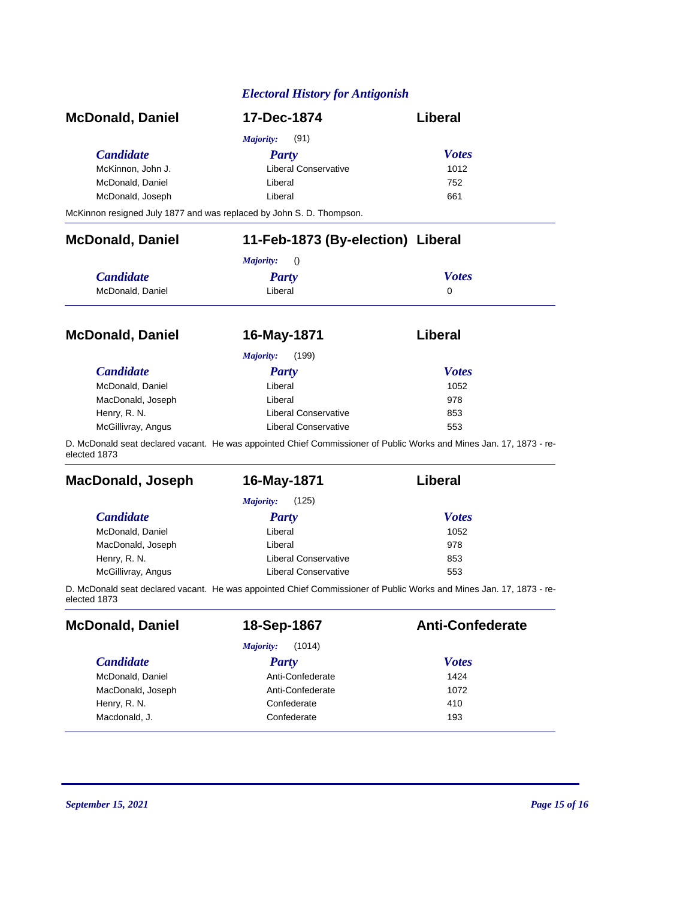| <b>McDonald, Daniel</b> | 17-Dec-1874          | Liberal      |
|-------------------------|----------------------|--------------|
|                         | Majority:<br>(91)    |              |
| <i>Candidate</i>        | <b>Party</b>         | <b>Votes</b> |
| McKinnon, John J.       | Liberal Conservative | 1012         |
| McDonald, Daniel        | Liberal              | 752          |
| McDonald, Joseph        | Liberal              | 661          |

McKinnon resigned July 1877 and was replaced by John S. D. Thompson.

| <b>McDonald, Daniel</b> | 11-Feb-1873 (By-election) Liberal<br>Majority:<br>$\langle$ |              |  |
|-------------------------|-------------------------------------------------------------|--------------|--|
|                         |                                                             |              |  |
| <b>Candidate</b>        | <b>Party</b>                                                | <b>Votes</b> |  |
| McDonald, Daniel        | Liberal                                                     | 0            |  |
| <b>McDonald, Daniel</b> | 16-May-1871                                                 | Liberal      |  |
|                         | (199)<br>Majority:                                          |              |  |
| <b>Candidate</b>        | <b>Party</b>                                                | <b>Votes</b> |  |
| McDonald, Daniel        | Liberal                                                     | 1052         |  |

MacDonald, Joseph Liberal Liberal 278 Henry, R. N. Same Conservative Renry, R. N. Same Renry, R. N. Same Renry, R. N. Same Renry, R. N. Same Renry, R McGillivray, Angus **McGillivray, Angus** Liberal Conservative **553** D. McDonald seat declared vacant. He was appointed Chief Commissioner of Public Works and Mines Jan. 17, 1873 - reelected 1873

| <b>MacDonald, Joseph</b> | 16-May-1871               | Liberal      |  |
|--------------------------|---------------------------|--------------|--|
|                          | (125)<br><i>Majority:</i> |              |  |
| <b>Candidate</b>         | <b>Party</b>              | <b>Votes</b> |  |
| McDonald, Daniel         | Liberal                   | 1052         |  |
| MacDonald, Joseph        | Liberal                   | 978          |  |
| Henry, R. N.             | Liberal Conservative      | 853          |  |
| McGillivray, Angus       | Liberal Conservative      | 553          |  |

D. McDonald seat declared vacant. He was appointed Chief Commissioner of Public Works and Mines Jan. 17, 1873 - reelected 1873

| <b>McDonald, Daniel</b> | 18-Sep-1867         | <b>Anti-Confederate</b> |
|-------------------------|---------------------|-------------------------|
|                         | (1014)<br>Majority: |                         |
| <b>Candidate</b>        | <b>Party</b>        | <b>Votes</b>            |
| McDonald, Daniel        | Anti-Confederate    | 1424                    |
| MacDonald, Joseph       | Anti-Confederate    | 1072                    |
| Henry, R. N.            | Confederate         | 410                     |
| Macdonald, J.           | Confederate         | 193                     |